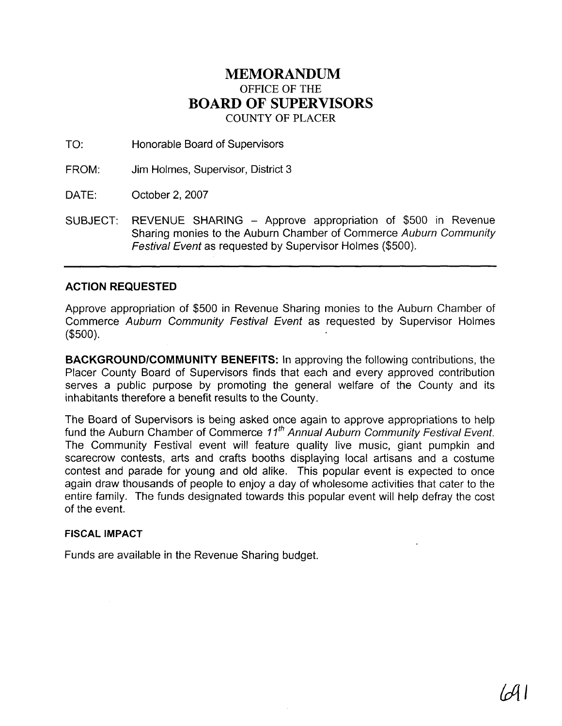## **MEMORANDUM**  OFFICE OF THE **BOARD OF SUPERVISORS**  COUNTY OF PLACER

TO: Honorable Board of Supervisors

FROM: Jim Holmes, Supervisor, District 3

DATE: October 2, 2007

SUBJECT: REVENUE SHARING - Approve appropriation of \$500 in Revenue Sharing monies to the Auburn Chamber of Commerce Auburn Community Festival Event as requested by Supervisor Holmes (\$500).

## **ACTION REQUESTED**

Approve appropriation of \$500 in Revenue Sharing monies to the Auburn Chamber of Commerce Auburn Community Festival Event as requested by Supervisor Holmes (\$500).

**BACKGROUNDICOMMUNITY BENEFITS:** In approving the following contributions, the Placer County Board of Supervisors finds that each and every approved contribution serves a public purpose by promoting the general welfare of the County and its inhabitants therefore a benefit results to the County.

The Board of Supervisors is being asked once again to approve appropriations to help fund the Auburn Chamber of Commerce  $11<sup>th</sup>$  Annual Auburn Community Festival Event. The Community Festival event will feature quality live music, giant pumpkin and scarecrow contests, arts and crafts booths displaying local artisans and a costume contest and parade for young and old alike. This popular event is expected to once again draw thousands of people to enjoy a day of wholesome activities that cater to the entire family. The funds designated towards this popular event will help defray the cost of the event.

## **FISCAL IMPACT**

Funds are available in the Revenue Sharing budget.